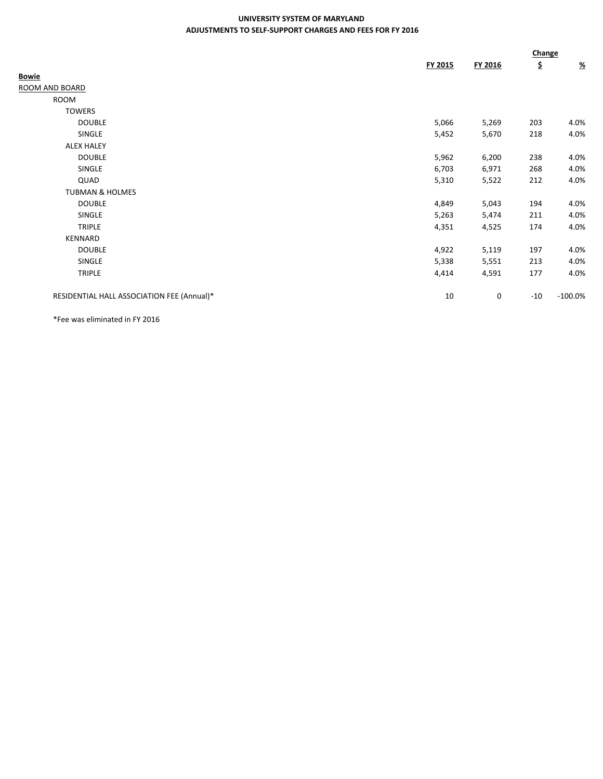## **UNIVERSITY SYSTEM OF MARYLAND ADJUSTMENTS TO SELF-SUPPORT CHARGES AND FEES FOR FY 2016**

|                                            |         |         | Change |                           |
|--------------------------------------------|---------|---------|--------|---------------------------|
|                                            | FY 2015 | FY 2016 | \$     | $\underline{\mathcal{H}}$ |
| <b>Bowie</b>                               |         |         |        |                           |
| ROOM AND BOARD                             |         |         |        |                           |
| ROOM                                       |         |         |        |                           |
| <b>TOWERS</b>                              |         |         |        |                           |
| <b>DOUBLE</b>                              | 5,066   | 5,269   | 203    | 4.0%                      |
| SINGLE                                     | 5,452   | 5,670   | 218    | 4.0%                      |
| <b>ALEX HALEY</b>                          |         |         |        |                           |
| <b>DOUBLE</b>                              | 5,962   | 6,200   | 238    | 4.0%                      |
| SINGLE                                     | 6,703   | 6,971   | 268    | 4.0%                      |
| QUAD                                       | 5,310   | 5,522   | 212    | 4.0%                      |
| <b>TUBMAN &amp; HOLMES</b>                 |         |         |        |                           |
| <b>DOUBLE</b>                              | 4,849   | 5,043   | 194    | 4.0%                      |
| SINGLE                                     | 5,263   | 5,474   | 211    | 4.0%                      |
| <b>TRIPLE</b>                              | 4,351   | 4,525   | 174    | 4.0%                      |
| KENNARD                                    |         |         |        |                           |
| <b>DOUBLE</b>                              | 4,922   | 5,119   | 197    | 4.0%                      |
| SINGLE                                     | 5,338   | 5,551   | 213    | 4.0%                      |
| <b>TRIPLE</b>                              | 4,414   | 4,591   | 177    | 4.0%                      |
| RESIDENTIAL HALL ASSOCIATION FEE (Annual)* | 10      | 0       | $-10$  | $-100.0%$                 |

\*Fee was eliminated in FY 2016